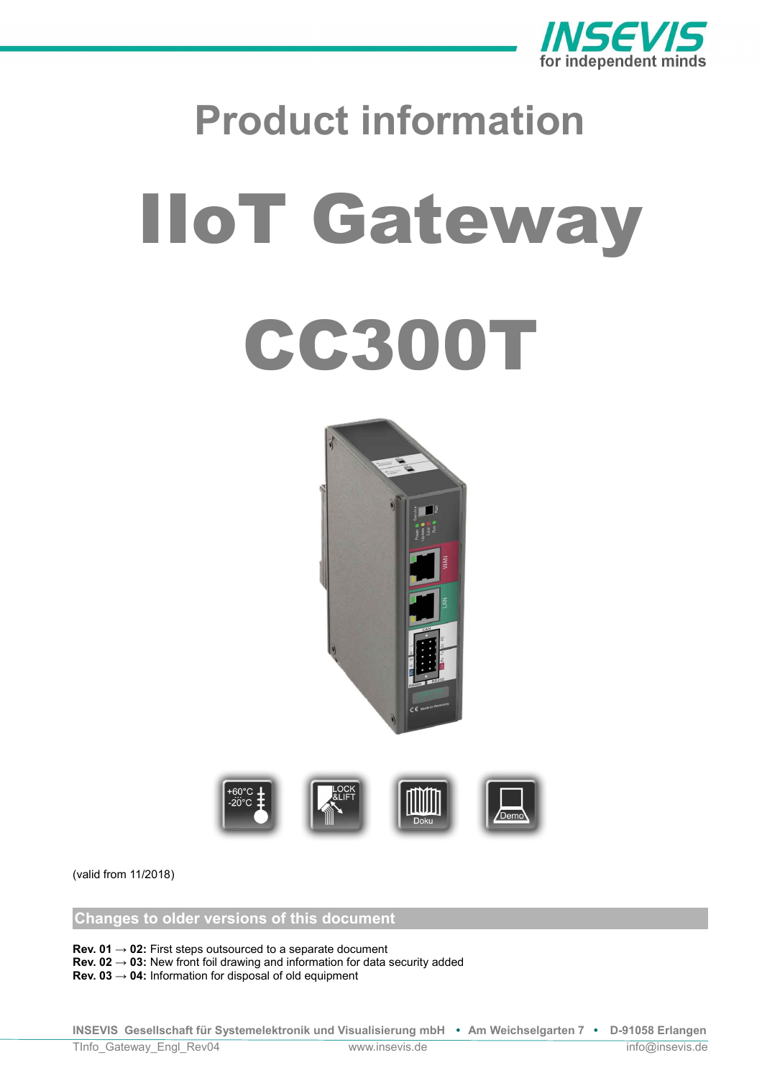

# **Product information** IIoT Gateway CC300T





(valid from 11/2018)

**Changes to older versions of this document**

**Rev. 01 → 02:** First steps outsourced to a separate document

**Rev. 02 → 03:** New front foil drawing and information for data security added

**Rev. 03 → 04:** Information for disposal of old equipment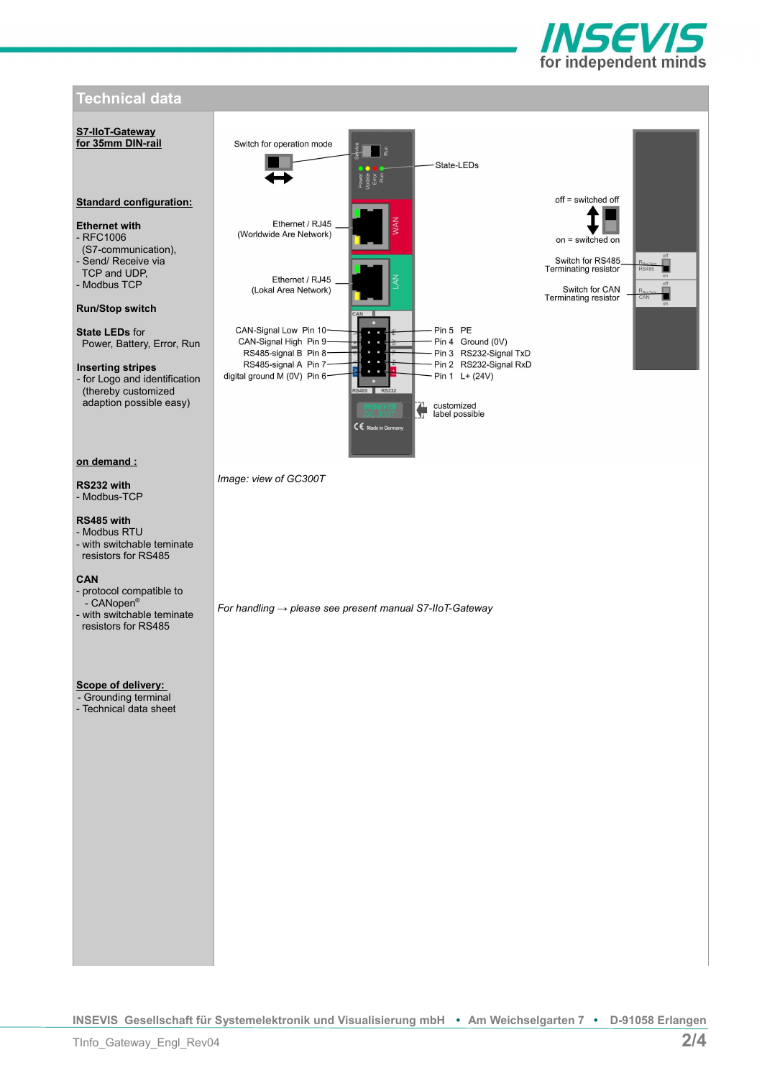

# **Technical data S7-IIoT-Gateway for 35mm DIN-rail** Switch for operation mode T a State-LEDs  $nff =$ switched  $nff$ **Standard configuration:** Ethernet / RJ45 **Ethernet with** (Worldwide Are Network) - RFC1006 on = switched on (S7-communication), Switch for RS485<br>Terminating resistor - Send/ Receive via TCP and UDP, Ethernet / RJ45 - Modbus TCP Switch for CAN<br>Terminating resistor (Lokal Area Network) **Run/Stop switch** CAN-Signal Low Pin 10-Pin 5 PE **State LEDs** for CAN-Signal High Pin 9-Pin 4 Ground (0V) Power, Battery, Error, Run Pin 3 RS232-Signal TxD RS485-signal B Pin 8-Pin 2 RS232-Signal RxD RS485-signal A Pin 7-**Inserting stripes**  digital ground M (0V) Pin 6-- for Logo and identification  $-$  Pin 1 L+ (24V) (thereby customized adaption possible easy) customized<br>label possible €  $CE$  Made in **on demand :** *Image: view of GC300T* **RS232 with** - Modbus-TCP **RS485 with** - Modbus RTU - with switchable teminate resistors for RS485 **CAN**  - protocol compatible to - CANopen® *For handling → please see present manual S7-IIoT-Gateway* - with switchable teminate resistors for RS485 **Scope of delivery:**  - Grounding terminal - Technical data sheet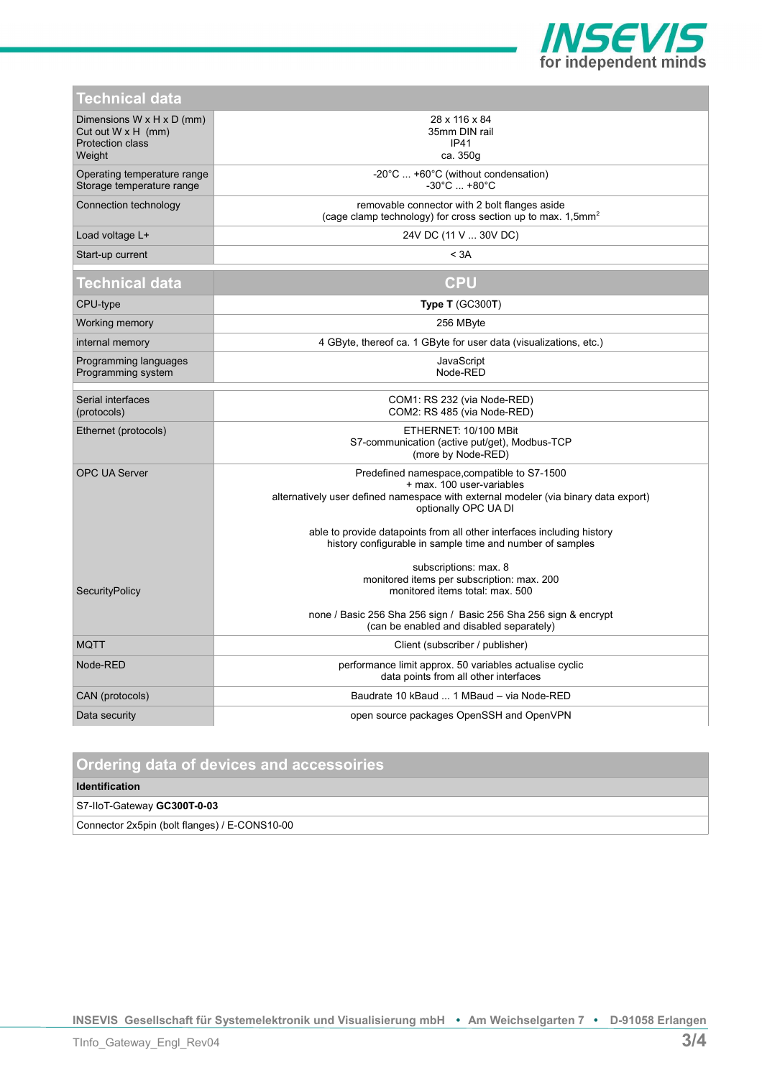

| <u>Technical data</u>                                                                       |                                                                                                                                                                                                                                                                                     |
|---------------------------------------------------------------------------------------------|-------------------------------------------------------------------------------------------------------------------------------------------------------------------------------------------------------------------------------------------------------------------------------------|
| Dimensions W x H x D (mm)<br>Cut out $W \times H$ (mm)<br><b>Protection class</b><br>Weight | 28 x 116 x 84<br>35mm DIN rail<br><b>IP41</b><br>ca. 350g                                                                                                                                                                                                                           |
| Operating temperature range<br>Storage temperature range                                    | $-20^{\circ}$ C  +60 $^{\circ}$ C (without condensation)<br>$-30^{\circ}$ C $+80^{\circ}$ C                                                                                                                                                                                         |
| Connection technology                                                                       | removable connector with 2 bolt flanges aside<br>(cage clamp technology) for cross section up to max. 1,5mm <sup>2</sup>                                                                                                                                                            |
| Load voltage L+                                                                             | 24V DC (11 V  30V DC)                                                                                                                                                                                                                                                               |
| Start-up current                                                                            | < 3A                                                                                                                                                                                                                                                                                |
| Technical data                                                                              | <b>CPU</b>                                                                                                                                                                                                                                                                          |
| CPU-type                                                                                    | Type $T$ (GC300T)                                                                                                                                                                                                                                                                   |
| Working memory                                                                              | 256 MByte                                                                                                                                                                                                                                                                           |
| internal memory                                                                             | 4 GByte, thereof ca. 1 GByte for user data (visualizations, etc.)                                                                                                                                                                                                                   |
| Programming languages<br>Programming system                                                 | JavaScript<br>Node-RED                                                                                                                                                                                                                                                              |
| Serial interfaces<br>(protocols)                                                            | COM1: RS 232 (via Node-RED)<br>COM2: RS 485 (via Node-RED)                                                                                                                                                                                                                          |
| Ethernet (protocols)                                                                        | ETHERNET: 10/100 MBit<br>S7-communication (active put/get), Modbus-TCP<br>(more by Node-RED)                                                                                                                                                                                        |
| <b>OPC UA Server</b>                                                                        | Predefined namespace, compatible to S7-1500<br>+ max. 100 user-variables<br>alternatively user defined namespace with external modeler (via binary data export)<br>optionally OPC UA DI<br>able to provide datapoints from all other interfaces including history                   |
| SecurityPolicy                                                                              | history configurable in sample time and number of samples<br>subscriptions: max. 8<br>monitored items per subscription: max. 200<br>monitored items total: max. 500<br>none / Basic 256 Sha 256 sign / Basic 256 Sha 256 sign & encrypt<br>(can be enabled and disabled separately) |
| <b>MQTT</b>                                                                                 | Client (subscriber / publisher)                                                                                                                                                                                                                                                     |
| Node-RED                                                                                    | performance limit approx. 50 variables actualise cyclic<br>data points from all other interfaces                                                                                                                                                                                    |
| CAN (protocols)                                                                             | Baudrate 10 kBaud  1 MBaud - via Node-RED                                                                                                                                                                                                                                           |
| Data security                                                                               | open source packages OpenSSH and OpenVPN                                                                                                                                                                                                                                            |
|                                                                                             |                                                                                                                                                                                                                                                                                     |

# **Ordering data of devices and accessoiries**

# **Identification**

S7-IIoT-Gateway **GC300T-0-03**

Connector 2x5pin (bolt flanges) / E-CONS10-00